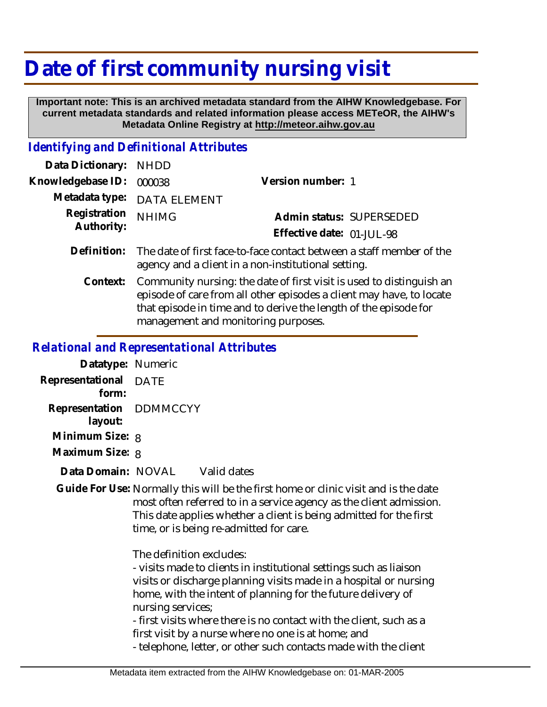## **Date of first community nursing visit**

 **Important note: This is an archived metadata standard from the AIHW Knowledgebase. For current metadata standards and related information please access METeOR, the AIHW's Metadata Online Registry at http://meteor.aihw.gov.au**

## *Identifying and Definitional Attributes*

| Data Dictionary: NHDD      |                                                                                                                             |                           |  |
|----------------------------|-----------------------------------------------------------------------------------------------------------------------------|---------------------------|--|
| Knowledgebase ID: 000038   |                                                                                                                             | Version number: 1         |  |
|                            | Metadata type: DATA ELEMENT                                                                                                 |                           |  |
| Registration<br>Authority: | <b>NHIMG</b>                                                                                                                | Admin status: SUPERSEDED  |  |
|                            |                                                                                                                             | Effective date: 01-JUL-98 |  |
| Definition:                | The date of first face-to-face contact between a staff member of the<br>agency and a client in a non-institutional setting. |                           |  |

Community nursing: the date of first visit is used to distinguish an episode of care from all other episodes a client may have, to locate that episode in time and to derive the length of the episode for management and monitoring purposes. **Context:**

## *Relational and Representational Attributes*

| Datatype: Numeric                  |      |             |
|------------------------------------|------|-------------|
| Representational<br>form:          | DATE |             |
| Representation DDMMCCYY<br>layout: |      |             |
| Minimum Size: 8                    |      |             |
| Maximum Size: 8                    |      |             |
| Data Domain: - NOVAL               |      | Valid dates |

Guide For Use: Normally this will be the first home or clinic visit and is the date most often referred to in a service agency as the client admission. This date applies whether a client is being admitted for the first time, or is being re-admitted for care.

The definition excludes:

- visits made to clients in institutional settings such as liaison visits or discharge planning visits made in a hospital or nursing home, with the intent of planning for the future delivery of nursing services;

- first visits where there is no contact with the client, such as a first visit by a nurse where no one is at home; and

- telephone, letter, or other such contacts made with the client